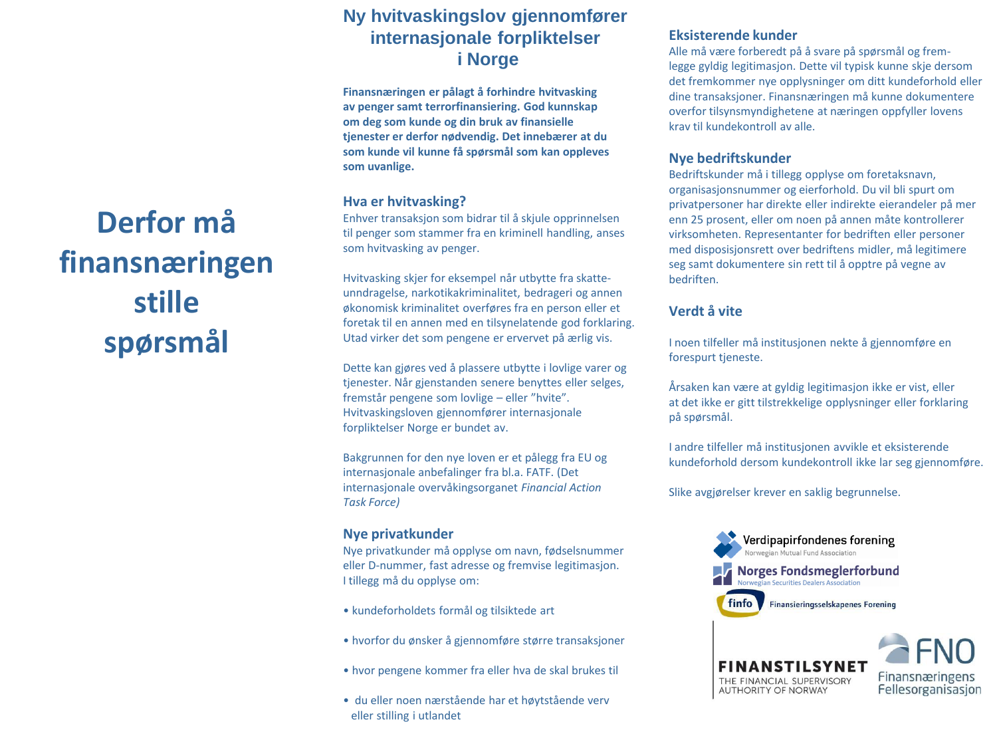## **Ny hvitvaskingslov gjennomfører internasjonale forpliktelser i Norge**

**Finansnæringen er pålagt å forhindre hvitvasking av penger samt terrorfinansiering. God kunnskap om deg som kunde og din bruk av finansielle tjenester er derfor nødvendig. Det innebærer at du som kunde vil kunne få spørsmål som kan oppleves som uvanlige.**

### **Hva er hvitvasking?**

Enhver transaksjon som bidrar til å skjule opprinnelsen til penger som stammer fra en kriminell handling, anses som hvitvasking av penger.

Hvitvasking skjer for eksempel når utbytte fra skatteunndragelse, narkotikakriminalitet, bedrageri og annen økonomisk kriminalitet overføres fra en person eller et foretak til en annen med en tilsynelatende god forklaring. Utad virker det som pengene er ervervet på ærlig vis.

Dette kan gjøres ved å plassere utbytte i lovlige varer og tjenester. Når gjenstanden senere benyttes eller selges, fremstår pengene som lovlige – eller "hvite". Hvitvaskingsloven gjennomfører internasjonale forpliktelser Norge er bundet av.

Bakgrunnen for den nye loven er et pålegg fra EU og internasjonale anbefalinger fra bl.a. FATF. (Det internasjonale overvåkingsorganet *Financial Action Task Force)*

### **Nye privatkunder**

Nye privatkunder må opplyse om navn, fødselsnummer eller D-nummer, fast adresse og fremvise legitimasjon. I tillegg må du opplyse om:

- kundeforholdets formål og tilsiktede art
- hvorfor du ønsker å gjennomføre større transaksjoner
- hvor pengene kommer fra eller hva de skal brukes til
- du eller noen nærstående har et høytstående verv eller stilling i utlandet

#### **Eksisterende kunder**

Alle må være forberedt på å svare på spørsmål og fremlegge gyldig legitimasjon. Dette vil typisk kunne skje dersom det fremkommer nye opplysninger om ditt kundeforhold eller dine transaksjoner. Finansnæringen må kunne dokumentere overfor tilsynsmyndighetene at næringen oppfyller lovens krav til kundekontroll av alle.

#### **Nye bedriftskunder**

Bedriftskunder må i tillegg opplyse om foretaksnavn, organisasjonsnummer og eierforhold. Du vil bli spurt om privatpersoner har direkte eller indirekte eierandeler på mer enn 25 prosent, eller om noen på annen måte kontrollerer virksomheten. Representanter for bedriften eller personer med disposisjonsrett over bedriftens midler, må legitimere seg samt dokumentere sin rett til å opptre på vegne av bedriften.

### **Verdt å vite**

I noen tilfeller må institusjonen nekte å gjennomføre en forespurt tjeneste.

Årsaken kan være at gyldig legitimasjon ikke er vist, eller at det ikke er gitt tilstrekkelige opplysninger eller forklaring på spørsmål.

I andre tilfeller må institusjonen avvikle et eksisterende kundeforhold dersom kundekontroll ikke lar seg gjennomføre.

Slike avgjørelser krever en saklig begrunnelse.





# **Derfor må finansnæringen stille spørsmål**